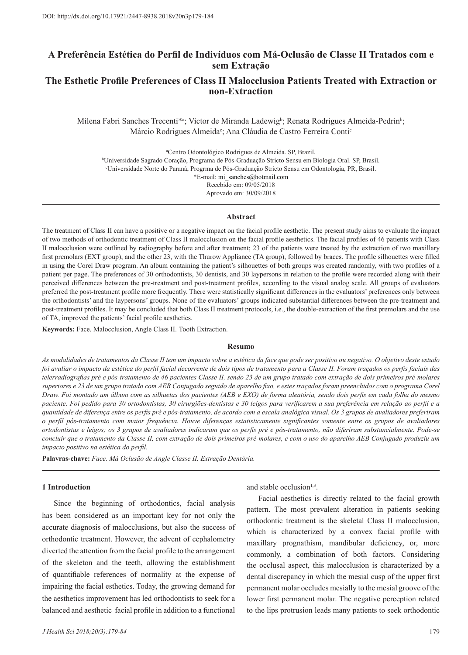# **A Preferência Estética do Perfil de Indivíduos com Má-Oclusão de Classe II Tratados com e sem Extração**

# **The Esthetic Profile Preferences of Class II Malocclusion Patients Treated with Extraction or non-Extraction**

Milena Fabri Sanches Trecenti\*a ; Victor de Miranda Ladewigb ; Renata Rodrigues Almeida-Pedrinb ; Márcio Rodrigues Almeida<sup>c</sup>; Ana Cláudia de Castro Ferreira Conti<sup>c</sup>

a Centro Odontológico Rodrigues de Almeida. SP, Brazil.

b Universidade Sagrado Coração, Programa de Pós-Graduação Stricto Sensu em Biologia Oral. SP, Brasil. c Universidade Norte do Paraná, Progrma de Pós-Graduação Stricto Sensu em Odontologia, PR, Brasil. \*E-mail: mi\_sanches@hotmail.com

Recebido em: 09/05/2018

Aprovado em: 30/09/2018

### **Abstract**

The treatment of Class II can have a positive or a negative impact on the facial profile aesthetic. The present study aims to evaluate the impact of two methods of orthodontic treatment of Class II malocclusion on the facial profile aesthetics. The facial profiles of 46 patients with Class II malocclusion were outlined by radiography before and after treatment; 23 of the patients were treated by the extraction of two maxillary first premolars (EXT group), and the other 23, with the Thurow Appliance (TA group), followed by braces. The profile silhouettes were filled in using the Corel Draw program. An album containing the patient's silhouettes of both groups was created randomly, with two profiles of a patient per page. The preferences of 30 orthodontists, 30 dentists, and 30 laypersons in relation to the profile were recorded along with their perceived differences between the pre-treatment and post-treatment profiles, according to the visual analog scale. All groups of evaluators preferred the post-treatment profile more frequently. There were statistically significant differences in the evaluators' preferences only between the orthodontists' and the laypersons' groups. None of the evaluators' groups indicated substantial differences between the pre-treatment and post-treatment profiles. It may be concluded that both Class II treatment protocols, i.e., the double-extraction of the first premolars and the use of TA, improved the patients' facial profile aesthetics.

**Keywords:** Face. Malocclusion, Angle Class II. Tooth Extraction.

#### **Resumo**

*As modalidades de tratamentos da Classe II tem um impacto sobre a estética da face que pode ser positivo ou negativo. O objetivo deste estudo foi avaliar o impacto da estética do perfil facial decorrente de dois tipos de tratamento para a Classe II. Foram traçados os perfis faciais das telerradiografias pré e pós-tratamento de 46 pacientes Classe II, sendo 23 de um grupo tratado com extração de dois primeiros pré-molares superiores e 23 de um grupo tratado com AEB Conjugado seguido de aparelho fixo, e estes traçados foram preenchidos com o programa Corel Draw. Foi montado um álbum com as silhuetas dos pacientes (AEB e EXO) de forma aleatória, sendo dois perfis em cada folha do mesmo paciente. Foi pedido para 30 ortodontistas, 30 cirurgiões-dentistas e 30 leigos para verificarem a sua preferência em relação ao perfil e a quantidade de diferença entre os perfis pré e pós-tratamento, de acordo com a escala analógica visual. Os 3 grupos de avaliadores preferiram o perfil pós-tratamento com maior frequência. Houve diferenças estatisticamente significantes somente entre os grupos de avaliadores ortodontistas e leigos; os 3 grupos de avaliadores indicaram que os perfis pré e pós-tratamento, não diferiram substancialmente. Pode-se concluir que o tratamento da Classe II, com extração de dois primeiros pré-molares, e com o uso do aparelho AEB Conjugado produziu um impacto positivo na estética do perfil.*

**Palavras-chave:** *Face. Má Oclusão de Angle Classe II. Extração Dentária.* 

# **1 Introduction**

Since the beginning of orthodontics, facial analysis has been considered as an important key for not only the accurate diagnosis of malocclusions, but also the success of orthodontic treatment. However, the advent of cephalometry diverted the attention from the facial profile to the arrangement of the skeleton and the teeth, allowing the establishment of quantifiable references of normality at the expense of impairing the facial esthetics. Today, the growing demand for the aesthetics improvement has led orthodontists to seek for a balanced and aesthetic facial profile in addition to a functional

and stable occlusion $1,3$ .

Facial aesthetics is directly related to the facial growth pattern. The most prevalent alteration in patients seeking orthodontic treatment is the skeletal Class II malocclusion, which is characterized by a convex facial profile with maxillary prognathism, mandibular deficiency, or, more commonly, a combination of both factors. Considering the occlusal aspect, this malocclusion is characterized by a dental discrepancy in which the mesial cusp of the upper first permanent molar occludes mesially to the mesial groove of the lower first permanent molar. The negative perception related to the lips protrusion leads many patients to seek orthodontic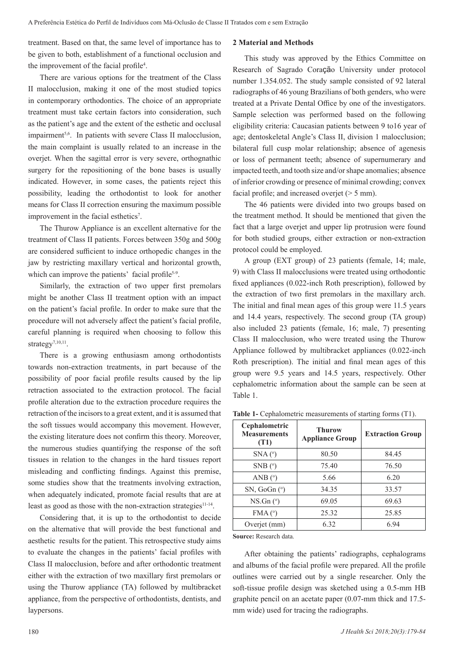treatment. Based on that, the same level of importance has to be given to both, establishment of a functional occlusion and the improvement of the facial profile<sup>4</sup>.

There are various options for the treatment of the Class II malocclusion, making it one of the most studied topics in contemporary orthodontics. The choice of an appropriate treatment must take certain factors into consideration, such as the patient's age and the extent of the esthetic and occlusal impairment<sup>5,6</sup>. In patients with severe Class II malocclusion, the main complaint is usually related to an increase in the overjet. When the sagittal error is very severe, orthognathic surgery for the repositioning of the bone bases is usually indicated. However, in some cases, the patients reject this possibility, leading the orthodontist to look for another means for Class II correction ensuring the maximum possible improvement in the facial esthetics<sup>7</sup>.

The Thurow Appliance is an excellent alternative for the treatment of Class II patients. Forces between 350g and 500g are considered sufficient to induce orthopedic changes in the jaw by restricting maxillary vertical and horizontal growth, which can improve the patients' facial profile<sup>5-9</sup>.

Similarly, the extraction of two upper first premolars might be another Class II treatment option with an impact on the patient's facial profile. In order to make sure that the procedure will not adversely affect the patient's facial profile, careful planning is required when choosing to follow this strategy<sup>7,10,11</sup>.

There is a growing enthusiasm among orthodontists towards non-extraction treatments, in part because of the possibility of poor facial profile results caused by the lip retraction associated to the extraction protocol. The facial profile alteration due to the extraction procedure requires the retraction of the incisors to a great extent, and it is assumed that the soft tissues would accompany this movement. However, the existing literature does not confirm this theory. Moreover, the numerous studies quantifying the response of the soft tissues in relation to the changes in the hard tissues report misleading and conflicting findings. Against this premise, some studies show that the treatments involving extraction, when adequately indicated, promote facial results that are at least as good as those with the non-extraction strategies<sup>11-14</sup>.

Considering that, it is up to the orthodontist to decide on the alternative that will provide the best functional and aesthetic results for the patient. This retrospective study aims to evaluate the changes in the patients' facial profiles with Class II malocclusion, before and after orthodontic treatment either with the extraction of two maxillary first premolars or using the Thurow appliance (TA) followed by multibracket appliance, from the perspective of orthodontists, dentists, and laypersons.

## **2 Material and Methods**

This study was approved by the Ethics Committee on Research of Sagrado Coração University under protocol number 1.354.052. The study sample consisted of 92 lateral radiographs of 46 young Brazilians of both genders, who were treated at a Private Dental Office by one of the investigators. Sample selection was performed based on the following eligibility criteria: Caucasian patients between 9 to16 year of age; dentoskeletal Angle's Class II, division 1 malocclusion; bilateral full cusp molar relationship; absence of agenesis or loss of permanent teeth; absence of supernumerary and impacted teeth, and tooth size and/or shape anomalies; absence of inferior crowding or presence of minimal crowding; convex facial profile; and increased overjet (> 5 mm).

The 46 patients were divided into two groups based on the treatment method. It should be mentioned that given the fact that a large overjet and upper lip protrusion were found for both studied groups, either extraction or non-extraction protocol could be employed.

A group (EXT group) of 23 patients (female, 14; male, 9) with Class II malocclusions were treated using orthodontic fixed appliances (0.022-inch Roth prescription), followed by the extraction of two first premolars in the maxillary arch. The initial and final mean ages of this group were 11.5 years and 14.4 years, respectively. The second group (TA group) also included 23 patients (female, 16; male, 7) presenting Class II malocclusion, who were treated using the Thurow Appliance followed by multibracket appliances (0.022-inch Roth prescription). The initial and final mean ages of this group were 9.5 years and 14.5 years, respectively. Other cephalometric information about the sample can be seen at Table 1.

| Cephalometric<br><b>Measurements</b><br>(T1) | <b>Thurow</b><br><b>Appliance Group</b> | <b>Extraction Group</b> |  |  |  |
|----------------------------------------------|-----------------------------------------|-------------------------|--|--|--|
| SNA <sup>o</sup>                             | 80.50                                   | 84.45                   |  |  |  |
| SNB $(°)$                                    | 75.40                                   | 76.50                   |  |  |  |
| ANB $(°)$                                    | 5.66                                    | 6.20                    |  |  |  |
| SN, GoGn $(°)$                               | 34.35                                   | 33.57                   |  |  |  |
| $NS.Gn(^{\circ})$                            | 69.05                                   | 69.63                   |  |  |  |
| FMA <sup>(°)</sup>                           | 25.32                                   | 25.85                   |  |  |  |
| Overjet (mm)                                 | 6.32                                    | 6.94                    |  |  |  |

Table 1- Cephalometric measurements of starting forms (T1).

**Source:** Research data.

After obtaining the patients' radiographs, cephalograms and albums of the facial profile were prepared. All the profile outlines were carried out by a single researcher. Only the soft-tissue profile design was sketched using a 0.5-mm HB graphite pencil on an acetate paper (0.07-mm thick and 17.5 mm wide) used for tracing the radiographs.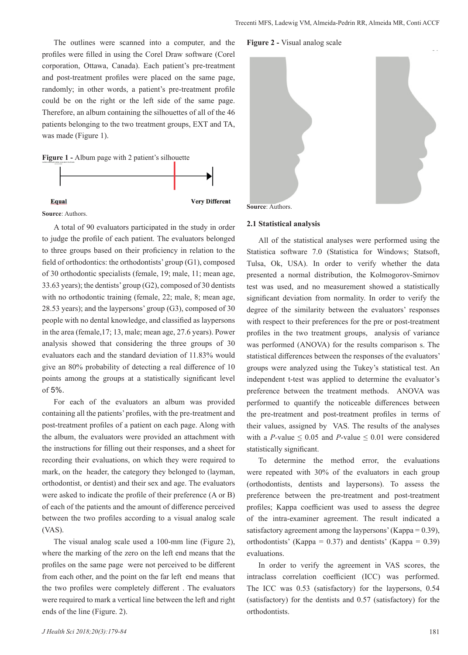The outlines were scanned into a computer, and the profiles were filled in using the Corel Draw software (Corel corporation, Ottawa, Canada). Each patient's pre-treatment and post-treatment profiles were placed on the same page, randomly; in other words, a patient's pre-treatment profile could be on the right or the left side of the same page. Therefore, an album containing the silhouettes of all of the 46 patients belonging to the two treatment groups, EXT and TA, was made (Figure 1).

**Figure 1 -** Album page with 2 patient's silhouette





A total of 90 evaluators participated in the study in order to judge the profile of each patient. The evaluators belonged to three groups based on their proficiency in relation to the field of orthodontics: the orthodontists' group (G1), composed of 30 orthodontic specialists (female, 19; male, 11; mean age, 33.63 years); the dentists' group (G2), composed of 30 dentists with no orthodontic training (female, 22; male, 8; mean age, 28.53 years); and the laypersons' group (G3), composed of 30 people with no dental knowledge, and classified as laypersons in the area (female,17; 13, male; mean age, 27.6 years). Power analysis showed that considering the three groups of 30 evaluators each and the standard deviation of 11.83% would give an 80% probability of detecting a real difference of 10 points among the groups at a statistically significant level of 5%.

For each of the evaluators an album was provided containing all the patients' profiles, with the pre-treatment and post-treatment profiles of a patient on each page. Along with the album, the evaluators were provided an attachment with the instructions for filling out their responses, and a sheet for recording their evaluations, on which they were required to mark, on the header, the category they belonged to (layman, orthodontist, or dentist) and their sex and age. The evaluators were asked to indicate the profile of their preference (A or B) of each of the patients and the amount of difference perceived between the two profiles according to a visual analog scale (VAS).

The visual analog scale used a 100-mm line (Figure 2), where the marking of the zero on the left end means that the profiles on the same page were not perceived to be different from each other, and the point on the far left end means that the two profiles were completely different . The evaluators were required to mark a vertical line between the left and right ends of the line (Figure. 2).

#### **Figure 2 -** Visual analog scale





#### **2.1 Statistical analysis**

All of the statistical analyses were performed using the Statistica software 7.0 (Statistica for Windows; Statsoft, Tulsa, Ok, USA). In order to verify whether the data presented a normal distribution, the Kolmogorov-Smirnov test was used, and no measurement showed a statistically significant deviation from normality. In order to verify the degree of the similarity between the evaluators' responses with respect to their preferences for the pre or post-treatment profiles in the two treatment groups, analysis of variance was performed (ANOVA) for the results comparison s. The statistical differences between the responses of the evaluators' groups were analyzed using the Tukey's statistical test. An independent t-test was applied to determine the evaluator's preference between the treatment methods. ANOVA was performed to quantify the noticeable differences between the pre-treatment and post-treatment profiles in terms of their values, assigned by VAS. The results of the analyses with a *P*-value  $\leq 0.05$  and *P*-value  $\leq 0.01$  were considered statistically significant.

To determine the method error, the evaluations were repeated with 30% of the evaluators in each group (orthodontists, dentists and laypersons). To assess the preference between the pre-treatment and post-treatment profiles; Kappa coefficient was used to assess the degree of the intra-examiner agreement. The result indicated a satisfactory agreement among the laypersons' (Kappa =  $0.39$ ), orthodontists' (Kappa =  $0.37$ ) and dentists' (Kappa =  $0.39$ ) evaluations.

In order to verify the agreement in VAS scores, the intraclass correlation coefficient (ICC) was performed. The ICC was 0.53 (satisfactory) for the laypersons, 0.54 (satisfactory) for the dentists and 0.57 (satisfactory) for the orthodontists.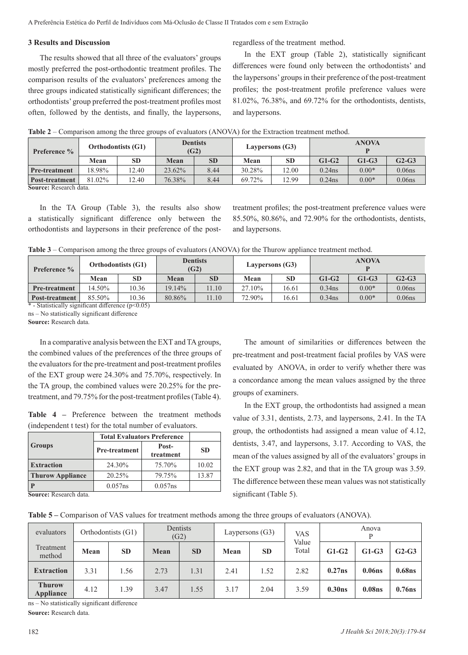### **3 Results and Discussion**

The results showed that all three of the evaluators' groups mostly preferred the post-orthodontic treatment profiles. The comparison results of the evaluators' preferences among the three groups indicated statistically significant differences; the orthodontists' group preferred the post-treatment profiles most often, followed by the dentists, and finally, the laypersons,

regardless of the treatment method.

In the EXT group (Table 2), statistically significant differences were found only between the orthodontists' and the laypersons' groups in their preference of the post-treatment profiles; the post-treatment profile preference values were 81.02%, 76.38%, and 69.72% for the orthodontists, dentists, and laypersons.

| <b>Preference</b> %              | <b>Dentists</b><br><b>Orthodontists (G1)</b><br>(G2) |           |        |           | Laypersons (G3) |           |           | <b>ANOVA</b> |                    |  |  |
|----------------------------------|------------------------------------------------------|-----------|--------|-----------|-----------------|-----------|-----------|--------------|--------------------|--|--|
|                                  | Mean                                                 | <b>SD</b> | Mean   | <b>SD</b> | Mean            | <b>SD</b> | $G1-G2$   | $G1-G3$      | $G2-G3$            |  |  |
| <b>Pre-treatment</b>             | 18.98%                                               | 12.40     | 23.62% | 8.44      | 30.28%          | 12.00     | $0.24$ ns | $0.00*$      | 0.06 <sub>ns</sub> |  |  |
| Post-treatment<br>$\alpha$ n 11. | 81.02%                                               | 12.40     | 76.38% | 8.44      | 69.72%          | 12.99     | $0.24$ ns | $0.00*$      | 0.06 <sub>ns</sub> |  |  |

**Table 2** – Comparison among the three groups of evaluators (ANOVA) for the Extraction treatment method.

**Source:** Research data.

In the TA Group (Table 3), the results also show a statistically significant difference only between the orthodontists and laypersons in their preference of the posttreatment profiles; the post-treatment preference values were 85.50%, 80.86%, and 72.90% for the orthodontists, dentists, and laypersons.

**Table 3** – Comparison among the three groups of evaluators (ANOVA) for the Thurow appliance treatment method.

| <b>Preference</b> %                                 | <b>Orthodontists (G1)</b> |           | <b>Dentists</b><br>(G2) |           |        | Laypersons (G3) | <b>ANOVA</b> |         |           |  |
|-----------------------------------------------------|---------------------------|-----------|-------------------------|-----------|--------|-----------------|--------------|---------|-----------|--|
|                                                     | Mean                      | <b>SD</b> | Mean                    | <b>SD</b> | Mean   | <b>SD</b>       | $G1-G2$      | $G1-G3$ | $G2-G3$   |  |
| Pre-treatment                                       | 14.50%                    | 10.36     | 19.14%                  | 11.10     | 27.10% | 16.61           | $0.34$ ns    | $0.00*$ | $0.06$ ns |  |
| Post-treatment                                      | 85.50%                    | 10.36     | 80.86%                  | 11.10     | 72.90% | 16.61           | $0.34$ ns    | $0.00*$ | $0.06$ ns |  |
| * - Statistically significant difference $(n<0.05)$ |                           |           |                         |           |        |                 |              |         |           |  |

stically significant difference ( $p<0.05$ )

ns – No statistically significant difference

**Source:** Research data.

In a comparative analysis between the EXT and TA groups, the combined values of the preferences of the three groups of the evaluators for the pre-treatment and post-treatment profiles of the EXT group were 24.30% and 75.70%, respectively. In the TA group, the combined values were 20.25% for the pretreatment, and 79.75% for the post-treatment profiles (Table 4).

**Table 4 –** Preference between the treatment methods (independent t test) for the total number of evaluators.

|                         | <b>Total Evaluators Preference</b> |                    |           |  |
|-------------------------|------------------------------------|--------------------|-----------|--|
| <b>Groups</b>           | Pre-treatment                      | Post-<br>treatment | <b>SD</b> |  |
| <b>Extraction</b>       | 24.30%                             | 75.70%             | 10.02     |  |
| <b>Thurow Appliance</b> | 20.25%                             | 79.75%             | 13.87     |  |
|                         | $0.057$ ns                         | $0.057$ ns         |           |  |

**Source:** Research data.

pre-treatment and post-treatment facial profiles by VAS were evaluated by ANOVA, in order to verify whether there was a concordance among the mean values assigned by the three groups of examiners. In the EXT group, the orthodontists had assigned a mean

The amount of similarities or differences between the

value of 3.31, dentists, 2.73, and laypersons, 2.41. In the TA group, the orthodontists had assigned a mean value of 4.12, dentists, 3.47, and laypersons, 3.17. According to VAS, the mean of the values assigned by all of the evaluators' groups in the EXT group was 2.82, and that in the TA group was 3.59. The difference between these mean values was not statistically significant (Table 5).

**Table 5 –** Comparison of VAS values for treatment methods among the three groups of evaluators (ANOVA).

| evaluators                 | Orthodontists (G1) |           | Dentists<br>(G2) |           | Laypersons (G3) |           | <b>VAS</b>     | Anova              |                    |                    |
|----------------------------|--------------------|-----------|------------------|-----------|-----------------|-----------|----------------|--------------------|--------------------|--------------------|
| Treatment<br>method        | Mean               | <b>SD</b> | Mean             | <b>SD</b> | Mean            | <b>SD</b> | Value<br>Total | $G1-G2$            | $G1-G3$            | $G2-G3$            |
| <b>Extraction</b>          | 3.31               | 1.56      | 2.73             | 1.31      | 2.41            | l.52      | 2.82           | 0.27ns             | 0.06 <sub>ns</sub> | 0.68 <sub>ns</sub> |
| <b>Thurow</b><br>Appliance | 4.12               | 1.39      | 3.47             | 1.55      | 3.17            | 2.04      | 3.59           | 0.30 <sub>ns</sub> | 0.08 <sub>ns</sub> | $0.76$ ns          |

ns – No statistically significant difference

**Source:** Research data.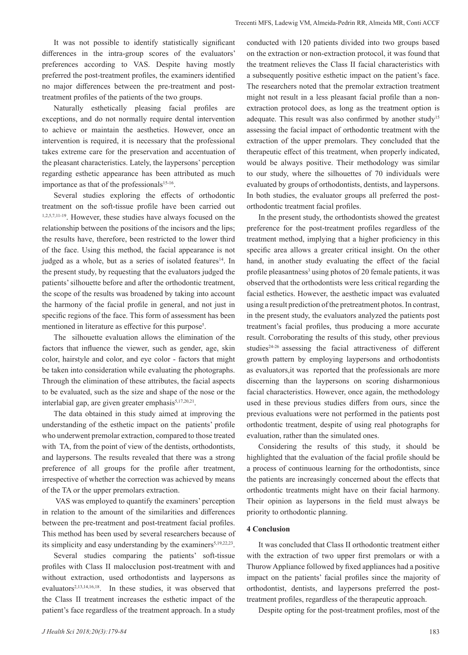It was not possible to identify statistically significant differences in the intra-group scores of the evaluators' preferences according to VAS. Despite having mostly preferred the post-treatment profiles, the examiners identified no major differences between the pre-treatment and posttreatment profiles of the patients of the two groups.

Naturally esthetically pleasing facial profiles are exceptions, and do not normally require dental intervention to achieve or maintain the aesthetics. However, once an intervention is required, it is necessary that the professional takes extreme care for the preservation and accentuation of the pleasant characteristics. Lately, the laypersons' perception regarding esthetic appearance has been attributed as much importance as that of the professionals<sup>15-16</sup>.

Several studies exploring the effects of orthodontic treatment on the soft-tissue profile have been carried out 1,2,5,7,11-19. However, these studies have always focused on the relationship between the positions of the incisors and the lips; the results have, therefore, been restricted to the lower third of the face. Using this method, the facial appearance is not judged as a whole, but as a series of isolated features<sup>14</sup>. In the present study, by requesting that the evaluators judged the patients' silhouette before and after the orthodontic treatment, the scope of the results was broadened by taking into account the harmony of the facial profile in general, and not just in specific regions of the face. This form of assessment has been mentioned in literature as effective for this purpose<sup>5</sup>.

The silhouette evaluation allows the elimination of the factors that influence the viewer, such as gender, age, skin color, hairstyle and color, and eye color - factors that might be taken into consideration while evaluating the photographs. Through the elimination of these attributes, the facial aspects to be evaluated, such as the size and shape of the nose or the interlabial gap, are given greater emphasis<sup>5,17,20,21</sup>.

The data obtained in this study aimed at improving the understanding of the esthetic impact on the patients' profile who underwent premolar extraction, compared to those treated with TA, from the point of view of the dentists, orthodontists, and laypersons. The results revealed that there was a strong preference of all groups for the profile after treatment, irrespective of whether the correction was achieved by means of the TA or the upper premolars extraction.

 VAS was employed to quantify the examiners' perception in relation to the amount of the similarities and differences between the pre-treatment and post-treatment facial profiles. This method has been used by several researchers because of its simplicity and easy understanding by the examiners<sup>5,19,22,23</sup>.

Several studies comparing the patients' soft-tissue profiles with Class II malocclusion post-treatment with and without extraction, used orthodontists and laypersons as evaluators<sup>2,13,14,16,18</sup>. In these studies, it was observed that the Class II treatment increases the esthetic impact of the patient's face regardless of the treatment approach. In a study conducted with 120 patients divided into two groups based on the extraction or non-extraction protocol, it was found that the treatment relieves the Class II facial characteristics with a subsequently positive esthetic impact on the patient's face. The researchers noted that the premolar extraction treatment might not result in a less pleasant facial profile than a nonextraction protocol does, as long as the treatment option is adequate. This result was also confirmed by another study<sup>15</sup> assessing the facial impact of orthodontic treatment with the extraction of the upper premolars. They concluded that the therapeutic effect of this treatment, when properly indicated, would be always positive. Their methodology was similar to our study, where the silhouettes of 70 individuals were evaluated by groups of orthodontists, dentists, and laypersons. In both studies, the evaluator groups all preferred the postorthodontic treatment facial profiles.

In the present study, the orthodontists showed the greatest preference for the post-treatment profiles regardless of the treatment method, implying that a higher proficiency in this specific area allows a greater critical insight. On the other hand, in another study evaluating the effect of the facial profile pleasantness<sup>3</sup> using photos of 20 female patients, it was observed that the orthodontists were less critical regarding the facial esthetics. However, the aesthetic impact was evaluated using a result prediction of the pretreatment photos. In contrast, in the present study, the evaluators analyzed the patients post treatment's facial profiles, thus producing a more accurate result. Corroborating the results of this study, other previous studies<sup>24-26</sup> assessing the facial attractiveness of different growth pattern by employing laypersons and orthodontists as evaluators,it was reported that the professionals are more discerning than the laypersons on scoring disharmonious facial characteristics. However, once again, the methodology used in these previous studies differs from ours, since the previous evaluations were not performed in the patients post orthodontic treatment, despite of using real photographs for evaluation, rather than the simulated ones.

Considering the results of this study, it should be highlighted that the evaluation of the facial profile should be a process of continuous learning for the orthodontists, since the patients are increasingly concerned about the effects that orthodontic treatments might have on their facial harmony. Their opinion as laypersons in the field must always be priority to orthodontic planning.

## **4 Conclusion**

It was concluded that Class II orthodontic treatment either with the extraction of two upper first premolars or with a Thurow Appliance followed by fixed appliances had a positive impact on the patients' facial profiles since the majority of orthodontist, dentists, and laypersons preferred the posttreatment profiles, regardless of the therapeutic approach.

Despite opting for the post-treatment profiles, most of the